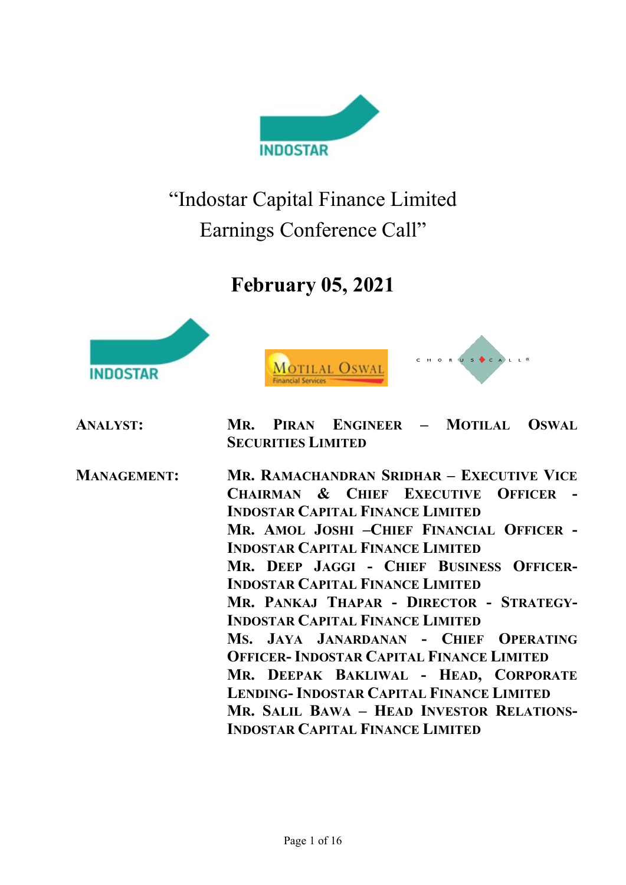

"Indostar Capital Finance Limited Earnings Conference Call"

# February 05, 2021







| <b>ANALYST:</b>    | MR. PIRAN ENGINEER - MOTILAL OSWAL<br><b>SECURITIES LIMITED</b>                                                                                                                                                                                                                                                                                                                                                                                                                                                                                                                                                                                                                      |
|--------------------|--------------------------------------------------------------------------------------------------------------------------------------------------------------------------------------------------------------------------------------------------------------------------------------------------------------------------------------------------------------------------------------------------------------------------------------------------------------------------------------------------------------------------------------------------------------------------------------------------------------------------------------------------------------------------------------|
| <b>MANAGEMENT:</b> | MR. RAMACHANDRAN SRIDHAR - EXECUTIVE VICE<br>CHAIRMAN & CHIEF EXECUTIVE OFFICER -<br><b>INDOSTAR CAPITAL FINANCE LIMITED</b><br>MR. AMOL JOSHI -CHIEF FINANCIAL OFFICER -<br><b>INDOSTAR CAPITAL FINANCE LIMITED</b><br>MR. DEEP JAGGI - CHIEF BUSINESS OFFICER-<br><b>INDOSTAR CAPITAL FINANCE LIMITED</b><br>MR. PANKAJ THAPAR - DIRECTOR - STRATEGY-<br><b>INDOSTAR CAPITAL FINANCE LIMITED</b><br>MS. JAYA JANARDANAN - CHIEF OPERATING<br><b>OFFICER- INDOSTAR CAPITAL FINANCE LIMITED</b><br>MR. DEEPAK BAKLIWAL - HEAD, CORPORATE<br><b>LENDING- INDOSTAR CAPITAL FINANCE LIMITED</b><br>MR. SALIL BAWA - HEAD INVESTOR RELATIONS-<br><b>INDOSTAR CAPITAL FINANCE LIMITED</b> |
|                    |                                                                                                                                                                                                                                                                                                                                                                                                                                                                                                                                                                                                                                                                                      |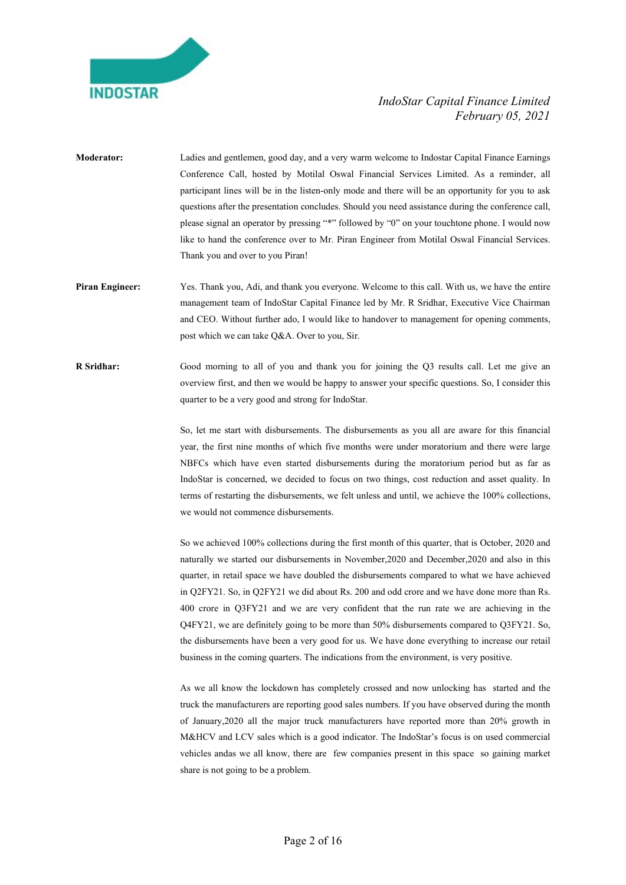

- Moderator: Ladies and gentlemen, good day, and a very warm welcome to Indostar Capital Finance Earnings Conference Call, hosted by Motilal Oswal Financial Services Limited. As a reminder, all participant lines will be in the listen-only mode and there will be an opportunity for you to ask questions after the presentation concludes. Should you need assistance during the conference call, please signal an operator by pressing "\*" followed by "0" on your touchtone phone. I would now like to hand the conference over to Mr. Piran Engineer from Motilal Oswal Financial Services. Thank you and over to you Piran!
- Piran Engineer: Yes. Thank you, Adi, and thank you everyone. Welcome to this call. With us, we have the entire management team of IndoStar Capital Finance led by Mr. R Sridhar, Executive Vice Chairman and CEO. Without further ado, I would like to handover to management for opening comments, post which we can take Q&A. Over to you, Sir.
- R Sridhar: Good morning to all of you and thank you for joining the Q3 results call. Let me give an overview first, and then we would be happy to answer your specific questions. So, I consider this quarter to be a very good and strong for IndoStar.

So, let me start with disbursements. The disbursements as you all are aware for this financial year, the first nine months of which five months were under moratorium and there were large NBFCs which have even started disbursements during the moratorium period but as far as IndoStar is concerned, we decided to focus on two things, cost reduction and asset quality. In terms of restarting the disbursements, we felt unless and until, we achieve the 100% collections, we would not commence disbursements.

 So we achieved 100% collections during the first month of this quarter, that is October, 2020 and naturally we started our disbursements in November,2020 and December,2020 and also in this quarter, in retail space we have doubled the disbursements compared to what we have achieved in Q2FY21. So, in Q2FY21 we did about Rs. 200 and odd crore and we have done more than Rs. 400 crore in Q3FY21 and we are very confident that the run rate we are achieving in the Q4FY21, we are definitely going to be more than 50% disbursements compared to Q3FY21. So, the disbursements have been a very good for us. We have done everything to increase our retail business in the coming quarters. The indications from the environment, is very positive.

 As we all know the lockdown has completely crossed and now unlocking has started and the truck the manufacturers are reporting good sales numbers. If you have observed during the month of January,2020 all the major truck manufacturers have reported more than 20% growth in M&HCV and LCV sales which is a good indicator. The IndoStar's focus is on used commercial vehicles andas we all know, there are few companies present in this space so gaining market share is not going to be a problem.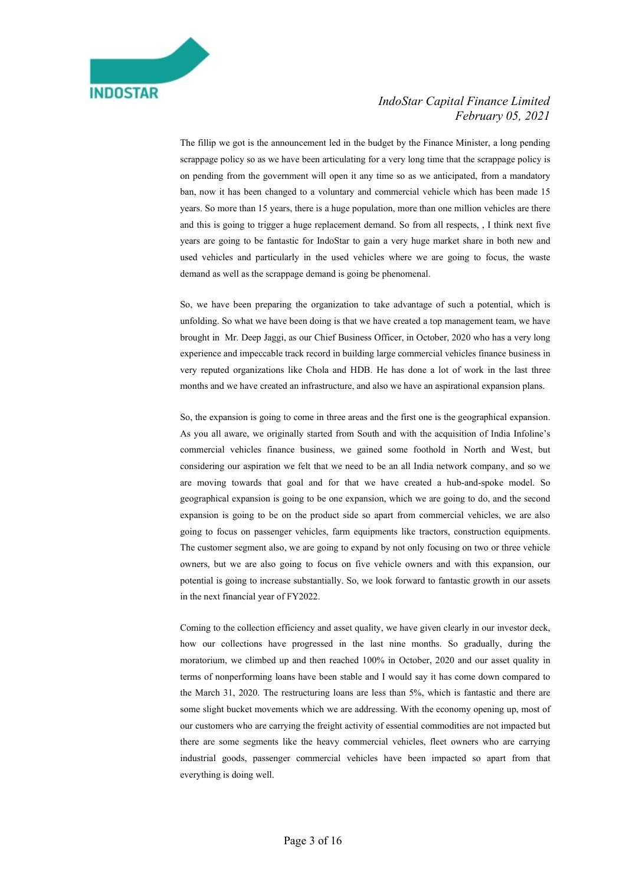

 The fillip we got is the announcement led in the budget by the Finance Minister, a long pending scrappage policy so as we have been articulating for a very long time that the scrappage policy is on pending from the government will open it any time so as we anticipated, from a mandatory ban, now it has been changed to a voluntary and commercial vehicle which has been made 15 years. So more than 15 years, there is a huge population, more than one million vehicles are there and this is going to trigger a huge replacement demand. So from all respects, , I think next five years are going to be fantastic for IndoStar to gain a very huge market share in both new and used vehicles and particularly in the used vehicles where we are going to focus, the waste demand as well as the scrappage demand is going be phenomenal.

 So, we have been preparing the organization to take advantage of such a potential, which is unfolding. So what we have been doing is that we have created a top management team, we have brought in Mr. Deep Jaggi, as our Chief Business Officer, in October, 2020 who has a very long experience and impeccable track record in building large commercial vehicles finance business in very reputed organizations like Chola and HDB. He has done a lot of work in the last three months and we have created an infrastructure, and also we have an aspirational expansion plans.

 So, the expansion is going to come in three areas and the first one is the geographical expansion. As you all aware, we originally started from South and with the acquisition of India Infoline's commercial vehicles finance business, we gained some foothold in North and West, but considering our aspiration we felt that we need to be an all India network company, and so we are moving towards that goal and for that we have created a hub-and-spoke model. So geographical expansion is going to be one expansion, which we are going to do, and the second expansion is going to be on the product side so apart from commercial vehicles, we are also going to focus on passenger vehicles, farm equipments like tractors, construction equipments. The customer segment also, we are going to expand by not only focusing on two or three vehicle owners, but we are also going to focus on five vehicle owners and with this expansion, our potential is going to increase substantially. So, we look forward to fantastic growth in our assets in the next financial year of FY2022.

 Coming to the collection efficiency and asset quality, we have given clearly in our investor deck, how our collections have progressed in the last nine months. So gradually, during the moratorium, we climbed up and then reached 100% in October, 2020 and our asset quality in terms of nonperforming loans have been stable and I would say it has come down compared to the March 31, 2020. The restructuring loans are less than 5%, which is fantastic and there are some slight bucket movements which we are addressing. With the economy opening up, most of our customers who are carrying the freight activity of essential commodities are not impacted but there are some segments like the heavy commercial vehicles, fleet owners who are carrying industrial goods, passenger commercial vehicles have been impacted so apart from that everything is doing well.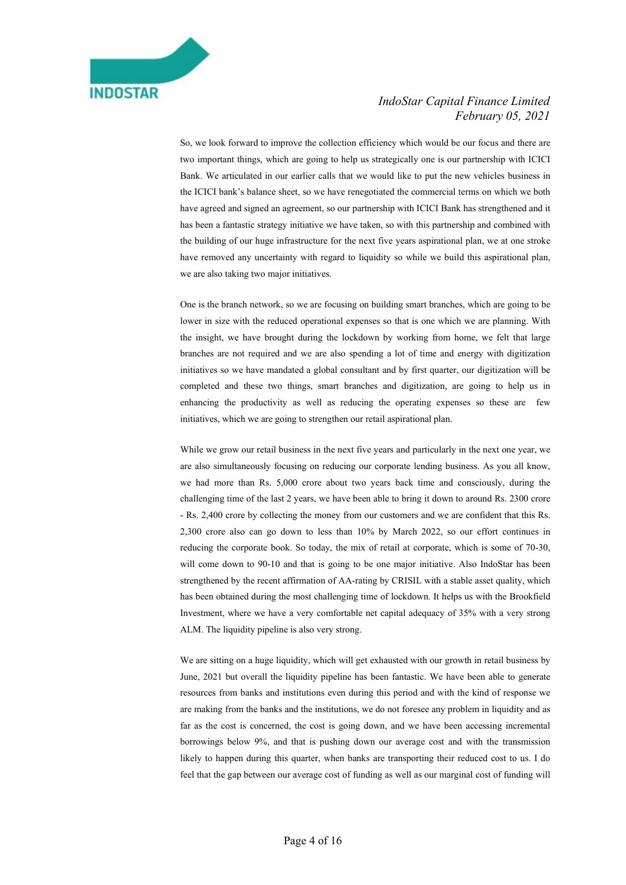

 So, we look forward to improve the collection efficiency which would be our focus and there are two important things, which are going to help us strategically one is our partnership with ICICI Bank. We articulated in our earlier calls that we would like to put the new vehicles business in the ICICI bank's balance sheet, so we have renegotiated the commercial terms on which we both have agreed and signed an agreement, so our partnership with ICICI Bank has strengthened and it has been a fantastic strategy initiative we have taken, so with this partnership and combined with the building of our huge infrastructure for the next five years aspirational plan, we at one stroke have removed any uncertainty with regard to liquidity so while we build this aspirational plan, we are also taking two major initiatives.

 One is the branch network, so we are focusing on building smart branches, which are going to be lower in size with the reduced operational expenses so that is one which we are planning. With the insight, we have brought during the lockdown by working from home, we felt that large branches are not required and we are also spending a lot of time and energy with digitization initiatives so we have mandated a global consultant and by first quarter, our digitization will be completed and these two things, smart branches and digitization, are going to help us in enhancing the productivity as well as reducing the operating expenses so these are few initiatives, which we are going to strengthen our retail aspirational plan.

 While we grow our retail business in the next five years and particularly in the next one year, we are also simultaneously focusing on reducing our corporate lending business. As you all know, we had more than Rs. 5,000 crore about two years back time and consciously, during the challenging time of the last 2 years, we have been able to bring it down to around Rs. 2300 crore - Rs. 2,400 crore by collecting the money from our customers and we are confident that this Rs. 2,300 crore also can go down to less than 10% by March 2022, so our effort continues in reducing the corporate book. So today, the mix of retail at corporate, which is some of 70-30, will come down to 90-10 and that is going to be one major initiative. Also IndoStar has been strengthened by the recent affirmation of AA-rating by CRISIL with a stable asset quality, which has been obtained during the most challenging time of lockdown. It helps us with the Brookfield Investment, where we have a very comfortable net capital adequacy of 35% with a very strong ALM. The liquidity pipeline is also very strong.

 We are sitting on a huge liquidity, which will get exhausted with our growth in retail business by June, 2021 but overall the liquidity pipeline has been fantastic. We have been able to generate resources from banks and institutions even during this period and with the kind of response we are making from the banks and the institutions, we do not foresee any problem in liquidity and as far as the cost is concerned, the cost is going down, and we have been accessing incremental borrowings below 9%, and that is pushing down our average cost and with the transmission likely to happen during this quarter, when banks are transporting their reduced cost to us. I do feel that the gap between our average cost of funding as well as our marginal cost of funding will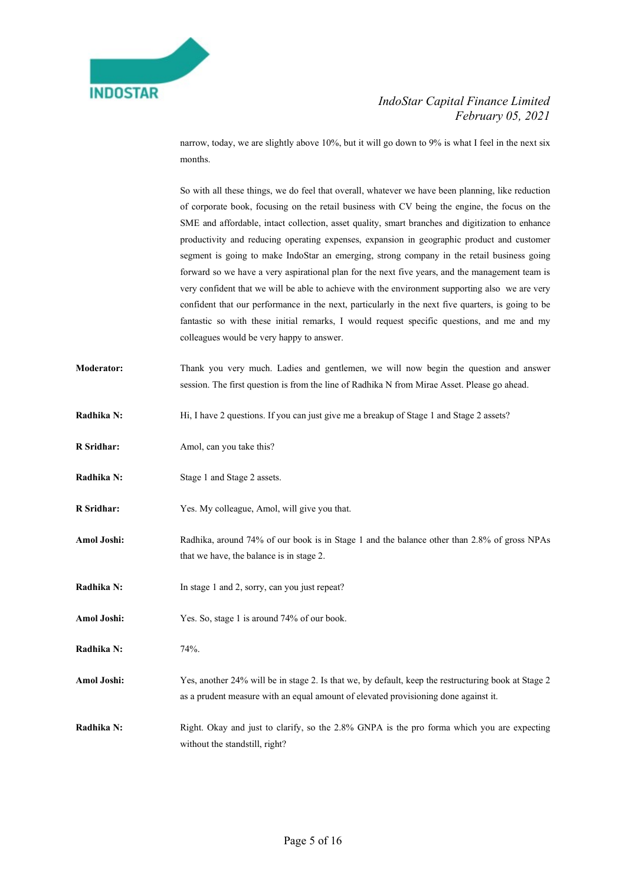

narrow, today, we are slightly above 10%, but it will go down to 9% is what I feel in the next six months.

 So with all these things, we do feel that overall, whatever we have been planning, like reduction of corporate book, focusing on the retail business with CV being the engine, the focus on the SME and affordable, intact collection, asset quality, smart branches and digitization to enhance productivity and reducing operating expenses, expansion in geographic product and customer segment is going to make IndoStar an emerging, strong company in the retail business going forward so we have a very aspirational plan for the next five years, and the management team is very confident that we will be able to achieve with the environment supporting also we are very confident that our performance in the next, particularly in the next five quarters, is going to be fantastic so with these initial remarks, I would request specific questions, and me and my colleagues would be very happy to answer.

- Moderator: Thank you very much. Ladies and gentlemen, we will now begin the question and answer session. The first question is from the line of Radhika N from Mirae Asset. Please go ahead.
- Radhika N: Hi, I have 2 questions. If you can just give me a breakup of Stage 1 and Stage 2 assets?
- R Sridhar: Amol, can you take this?
- Radhika N: Stage 1 and Stage 2 assets.
- R Sridhar: Yes. My colleague, Amol, will give you that.
- Amol Joshi: Radhika, around 74% of our book is in Stage 1 and the balance other than 2.8% of gross NPAs that we have, the balance is in stage 2.
- Radhika N: In stage 1 and 2, sorry, can you just repeat?
- Amol Joshi: Yes. So, stage 1 is around 74% of our book.
- Radhika N: 74%.
- Amol Joshi: Yes, another 24% will be in stage 2. Is that we, by default, keep the restructuring book at Stage 2 as a prudent measure with an equal amount of elevated provisioning done against it.
- Radhika N: Right. Okay and just to clarify, so the 2.8% GNPA is the pro forma which you are expecting without the standstill, right?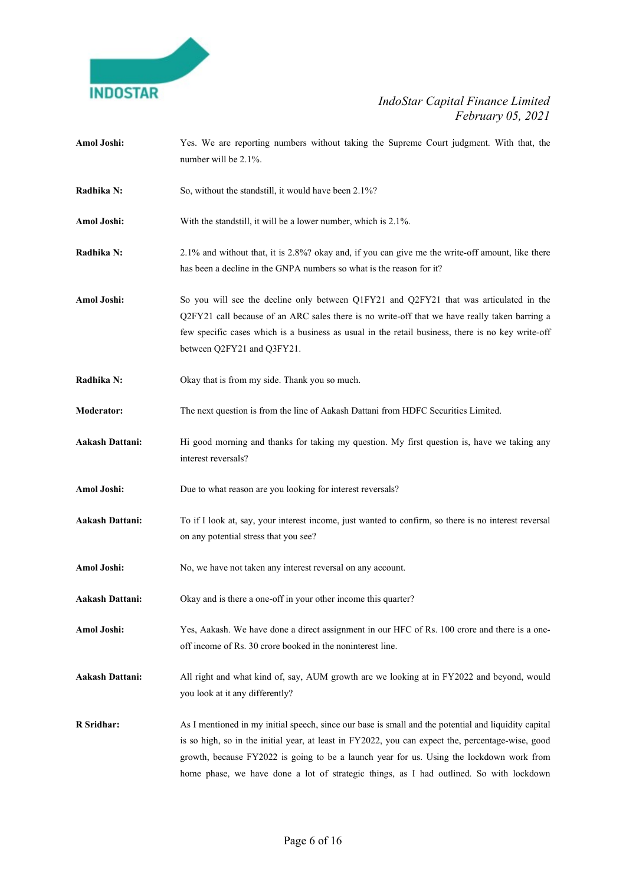

- Amol Joshi: Yes. We are reporting numbers without taking the Supreme Court judgment. With that, the number will be 2.1%.
- Radhika N: So, without the standstill, it would have been 2.1%?
- Amol Joshi: With the standstill, it will be a lower number, which is 2.1%.
- Radhika N: 2.1% and without that, it is 2.8%? okay and, if you can give me the write-off amount, like there has been a decline in the GNPA numbers so what is the reason for it?
- Amol Joshi: So you will see the decline only between Q1FY21 and Q2FY21 that was articulated in the Q2FY21 call because of an ARC sales there is no write-off that we have really taken barring a few specific cases which is a business as usual in the retail business, there is no key write-off between Q2FY21 and Q3FY21.
- Radhika N: Okay that is from my side. Thank you so much.
- Moderator: The next question is from the line of Aakash Dattani from HDFC Securities Limited.
- Aakash Dattani: Hi good morning and thanks for taking my question. My first question is, have we taking any interest reversals?
- Amol Joshi: Due to what reason are you looking for interest reversals?
- Aakash Dattani: To if I look at, say, your interest income, just wanted to confirm, so there is no interest reversal on any potential stress that you see?
- Amol Joshi: No, we have not taken any interest reversal on any account.
- Aakash Dattani: Okay and is there a one-off in your other income this quarter?
- Amol Joshi: Yes, Aakash. We have done a direct assignment in our HFC of Rs. 100 crore and there is a oneoff income of Rs. 30 crore booked in the noninterest line.
- Aakash Dattani: All right and what kind of, say, AUM growth are we looking at in FY2022 and beyond, would you look at it any differently?
- R Sridhar: As I mentioned in my initial speech, since our base is small and the potential and liquidity capital is so high, so in the initial year, at least in FY2022, you can expect the, percentage-wise, good growth, because FY2022 is going to be a launch year for us. Using the lockdown work from home phase, we have done a lot of strategic things, as I had outlined. So with lockdown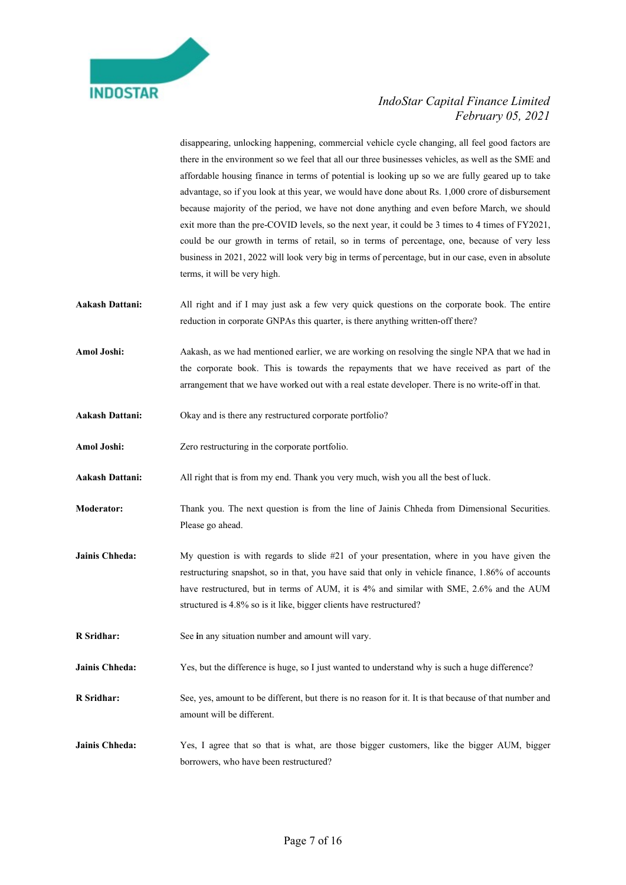

disappearing, unlocking happening, commercial vehicle cycle changing, all feel good factors are there in the environment so we feel that all our three businesses vehicles, as well as the SME and affordable housing finance in terms of potential is looking up so we are fully geared up to take advantage, so if you look at this year, we would have done about Rs. 1,000 crore of disbursement because majority of the period, we have not done anything and even before March, we should exit more than the pre-COVID levels, so the next year, it could be 3 times to 4 times of FY2021, could be our growth in terms of retail, so in terms of percentage, one, because of very less business in 2021, 2022 will look very big in terms of percentage, but in our case, even in absolute terms, it will be very high.

- Aakash Dattani: All right and if I may just ask a few very quick questions on the corporate book. The entire reduction in corporate GNPAs this quarter, is there anything written-off there?
- Amol Joshi: Aakash, as we had mentioned earlier, we are working on resolving the single NPA that we had in the corporate book. This is towards the repayments that we have received as part of the arrangement that we have worked out with a real estate developer. There is no write-off in that.
- Aakash Dattani: Okay and is there any restructured corporate portfolio?
- Amol Joshi: Zero restructuring in the corporate portfolio.
- Aakash Dattani: All right that is from my end. Thank you very much, wish you all the best of luck.
- Moderator: Thank you. The next question is from the line of Jainis Chheda from Dimensional Securities. Please go ahead.
- Jainis Chheda: My question is with regards to slide #21 of your presentation, where in you have given the restructuring snapshot, so in that, you have said that only in vehicle finance, 1.86% of accounts have restructured, but in terms of AUM, it is 4% and similar with SME, 2.6% and the AUM structured is 4.8% so is it like, bigger clients have restructured?
- R Sridhar: See in any situation number and amount will vary.
- Jainis Chheda: Yes, but the difference is huge, so I just wanted to understand why is such a huge difference?
- R Sridhar: See, yes, amount to be different, but there is no reason for it. It is that because of that number and amount will be different.
- Jainis Chheda: Yes, I agree that so that is what, are those bigger customers, like the bigger AUM, bigger borrowers, who have been restructured?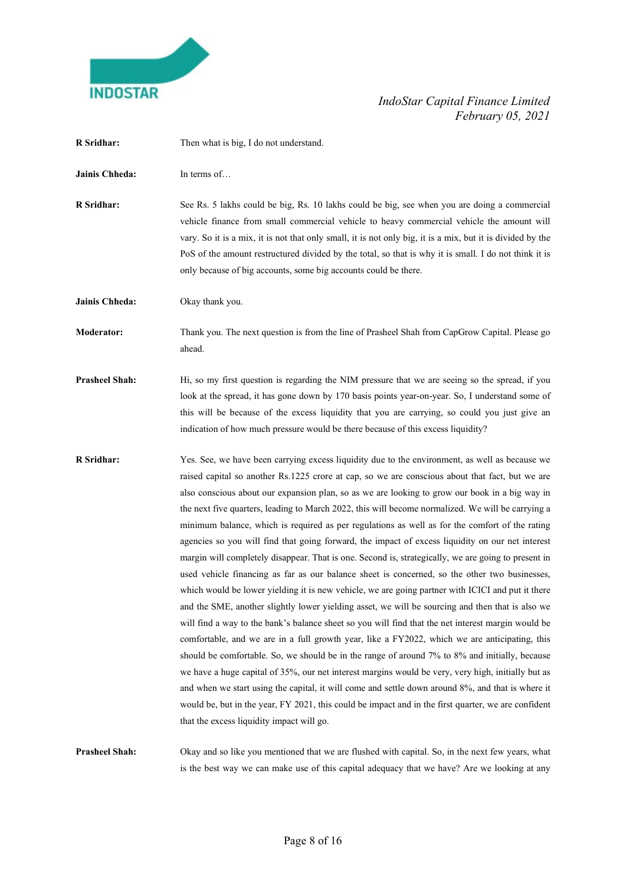

| R Sridhar:            | Then what is big, I do not understand.                                                                                                                                                                                                                                                                                                                                                                                                                                                                                                                                                                                                                                                                                                                                                                                                                                                                                                                                                                                                                                                                                                                                                                                                                                                                                                                                                                                                                                                                                                                                                                                                                                                                  |
|-----------------------|---------------------------------------------------------------------------------------------------------------------------------------------------------------------------------------------------------------------------------------------------------------------------------------------------------------------------------------------------------------------------------------------------------------------------------------------------------------------------------------------------------------------------------------------------------------------------------------------------------------------------------------------------------------------------------------------------------------------------------------------------------------------------------------------------------------------------------------------------------------------------------------------------------------------------------------------------------------------------------------------------------------------------------------------------------------------------------------------------------------------------------------------------------------------------------------------------------------------------------------------------------------------------------------------------------------------------------------------------------------------------------------------------------------------------------------------------------------------------------------------------------------------------------------------------------------------------------------------------------------------------------------------------------------------------------------------------------|
| Jainis Chheda:        | In terms of                                                                                                                                                                                                                                                                                                                                                                                                                                                                                                                                                                                                                                                                                                                                                                                                                                                                                                                                                                                                                                                                                                                                                                                                                                                                                                                                                                                                                                                                                                                                                                                                                                                                                             |
| R Sridhar:            | See Rs. 5 lakhs could be big, Rs. 10 lakhs could be big, see when you are doing a commercial<br>vehicle finance from small commercial vehicle to heavy commercial vehicle the amount will<br>vary. So it is a mix, it is not that only small, it is not only big, it is a mix, but it is divided by the<br>PoS of the amount restructured divided by the total, so that is why it is small. I do not think it is<br>only because of big accounts, some big accounts could be there.                                                                                                                                                                                                                                                                                                                                                                                                                                                                                                                                                                                                                                                                                                                                                                                                                                                                                                                                                                                                                                                                                                                                                                                                                     |
| Jainis Chheda:        | Okay thank you.                                                                                                                                                                                                                                                                                                                                                                                                                                                                                                                                                                                                                                                                                                                                                                                                                                                                                                                                                                                                                                                                                                                                                                                                                                                                                                                                                                                                                                                                                                                                                                                                                                                                                         |
| <b>Moderator:</b>     | Thank you. The next question is from the line of Prasheel Shah from CapGrow Capital. Please go<br>ahead.                                                                                                                                                                                                                                                                                                                                                                                                                                                                                                                                                                                                                                                                                                                                                                                                                                                                                                                                                                                                                                                                                                                                                                                                                                                                                                                                                                                                                                                                                                                                                                                                |
| <b>Prasheel Shah:</b> | Hi, so my first question is regarding the NIM pressure that we are seeing so the spread, if you<br>look at the spread, it has gone down by 170 basis points year-on-year. So, I understand some of<br>this will be because of the excess liquidity that you are carrying, so could you just give an<br>indication of how much pressure would be there because of this excess liquidity?                                                                                                                                                                                                                                                                                                                                                                                                                                                                                                                                                                                                                                                                                                                                                                                                                                                                                                                                                                                                                                                                                                                                                                                                                                                                                                                 |
| <b>R</b> Sridhar:     | Yes. See, we have been carrying excess liquidity due to the environment, as well as because we<br>raised capital so another Rs.1225 crore at cap, so we are conscious about that fact, but we are<br>also conscious about our expansion plan, so as we are looking to grow our book in a big way in<br>the next five quarters, leading to March 2022, this will become normalized. We will be carrying a<br>minimum balance, which is required as per regulations as well as for the comfort of the rating<br>agencies so you will find that going forward, the impact of excess liquidity on our net interest<br>margin will completely disappear. That is one. Second is, strategically, we are going to present in<br>used vehicle financing as far as our balance sheet is concerned, so the other two businesses,<br>which would be lower yielding it is new vehicle, we are going partner with ICICI and put it there<br>and the SME, another slightly lower yielding asset, we will be sourcing and then that is also we<br>will find a way to the bank's balance sheet so you will find that the net interest margin would be<br>comfortable, and we are in a full growth year, like a FY2022, which we are anticipating, this<br>should be comfortable. So, we should be in the range of around 7% to 8% and initially, because<br>we have a huge capital of 35%, our net interest margins would be very, very high, initially but as<br>and when we start using the capital, it will come and settle down around 8%, and that is where it<br>would be, but in the year, FY 2021, this could be impact and in the first quarter, we are confident<br>that the excess liquidity impact will go. |
| <b>Prasheel Shah:</b> | Okay and so like you mentioned that we are flushed with capital. So, in the next few years, what                                                                                                                                                                                                                                                                                                                                                                                                                                                                                                                                                                                                                                                                                                                                                                                                                                                                                                                                                                                                                                                                                                                                                                                                                                                                                                                                                                                                                                                                                                                                                                                                        |

is the best way we can make use of this capital adequacy that we have? Are we looking at any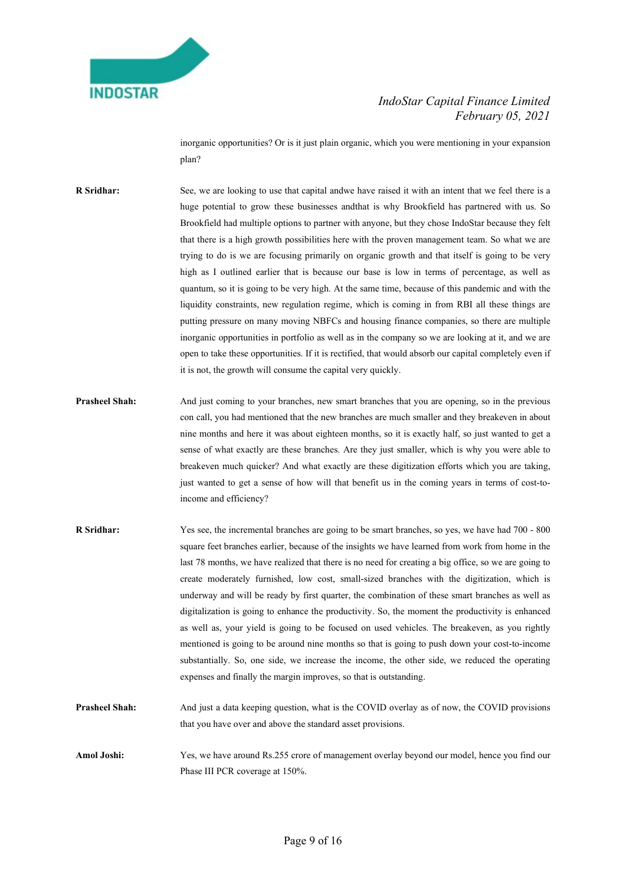

inorganic opportunities? Or is it just plain organic, which you were mentioning in your expansion plan?

R Sridhar: See, we are looking to use that capital andwe have raised it with an intent that we feel there is a huge potential to grow these businesses andthat is why Brookfield has partnered with us. So Brookfield had multiple options to partner with anyone, but they chose IndoStar because they felt that there is a high growth possibilities here with the proven management team. So what we are trying to do is we are focusing primarily on organic growth and that itself is going to be very high as I outlined earlier that is because our base is low in terms of percentage, as well as quantum, so it is going to be very high. At the same time, because of this pandemic and with the liquidity constraints, new regulation regime, which is coming in from RBI all these things are putting pressure on many moving NBFCs and housing finance companies, so there are multiple inorganic opportunities in portfolio as well as in the company so we are looking at it, and we are open to take these opportunities. If it is rectified, that would absorb our capital completely even if it is not, the growth will consume the capital very quickly.

- **Prasheel Shah:** And just coming to your branches, new smart branches that you are opening, so in the previous con call, you had mentioned that the new branches are much smaller and they breakeven in about nine months and here it was about eighteen months, so it is exactly half, so just wanted to get a sense of what exactly are these branches. Are they just smaller, which is why you were able to breakeven much quicker? And what exactly are these digitization efforts which you are taking, just wanted to get a sense of how will that benefit us in the coming years in terms of cost-toincome and efficiency?
- R Sridhar: Yes see, the incremental branches are going to be smart branches, so yes, we have had 700 800 square feet branches earlier, because of the insights we have learned from work from home in the last 78 months, we have realized that there is no need for creating a big office, so we are going to create moderately furnished, low cost, small-sized branches with the digitization, which is underway and will be ready by first quarter, the combination of these smart branches as well as digitalization is going to enhance the productivity. So, the moment the productivity is enhanced as well as, your yield is going to be focused on used vehicles. The breakeven, as you rightly mentioned is going to be around nine months so that is going to push down your cost-to-income substantially. So, one side, we increase the income, the other side, we reduced the operating expenses and finally the margin improves, so that is outstanding.
- **Prasheel Shah:** And just a data keeping question, what is the COVID overlay as of now, the COVID provisions that you have over and above the standard asset provisions.
- Amol Joshi: Yes, we have around Rs.255 crore of management overlay beyond our model, hence you find our Phase III PCR coverage at 150%.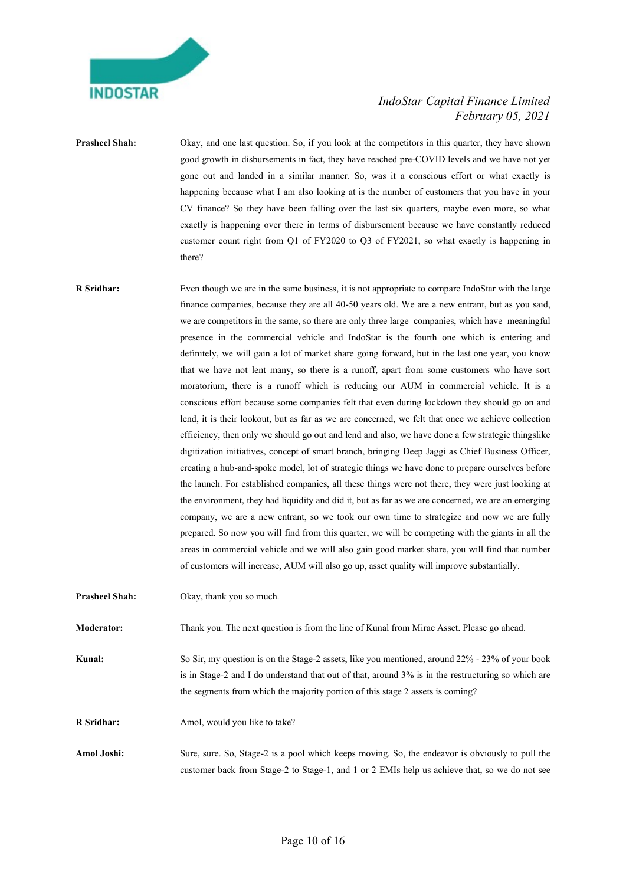

**Prasheel Shah:** Okay, and one last question. So, if you look at the competitors in this quarter, they have shown good growth in disbursements in fact, they have reached pre-COVID levels and we have not yet gone out and landed in a similar manner. So, was it a conscious effort or what exactly is happening because what I am also looking at is the number of customers that you have in your CV finance? So they have been falling over the last six quarters, maybe even more, so what exactly is happening over there in terms of disbursement because we have constantly reduced customer count right from Q1 of FY2020 to Q3 of FY2021, so what exactly is happening in there?

- R Sridhar: Even though we are in the same business, it is not appropriate to compare IndoStar with the large finance companies, because they are all 40-50 years old. We are a new entrant, but as you said, we are competitors in the same, so there are only three large companies, which have meaningful presence in the commercial vehicle and IndoStar is the fourth one which is entering and definitely, we will gain a lot of market share going forward, but in the last one year, you know that we have not lent many, so there is a runoff, apart from some customers who have sort moratorium, there is a runoff which is reducing our AUM in commercial vehicle. It is a conscious effort because some companies felt that even during lockdown they should go on and lend, it is their lookout, but as far as we are concerned, we felt that once we achieve collection efficiency, then only we should go out and lend and also, we have done a few strategic thingslike digitization initiatives, concept of smart branch, bringing Deep Jaggi as Chief Business Officer, creating a hub-and-spoke model, lot of strategic things we have done to prepare ourselves before the launch. For established companies, all these things were not there, they were just looking at the environment, they had liquidity and did it, but as far as we are concerned, we are an emerging company, we are a new entrant, so we took our own time to strategize and now we are fully prepared. So now you will find from this quarter, we will be competing with the giants in all the areas in commercial vehicle and we will also gain good market share, you will find that number of customers will increase, AUM will also go up, asset quality will improve substantially.
- Prasheel Shah: Okay, thank you so much.

Moderator: Thank you. The next question is from the line of Kunal from Mirae Asset. Please go ahead.

Kunal: So Sir, my question is on the Stage-2 assets, like you mentioned, around 22% - 23% of your book is in Stage-2 and I do understand that out of that, around 3% is in the restructuring so which are the segments from which the majority portion of this stage 2 assets is coming?

R Sridhar: Amol, would you like to take?

Amol Joshi: Sure, sure. So, Stage-2 is a pool which keeps moving. So, the endeavor is obviously to pull the customer back from Stage-2 to Stage-1, and 1 or 2 EMIs help us achieve that, so we do not see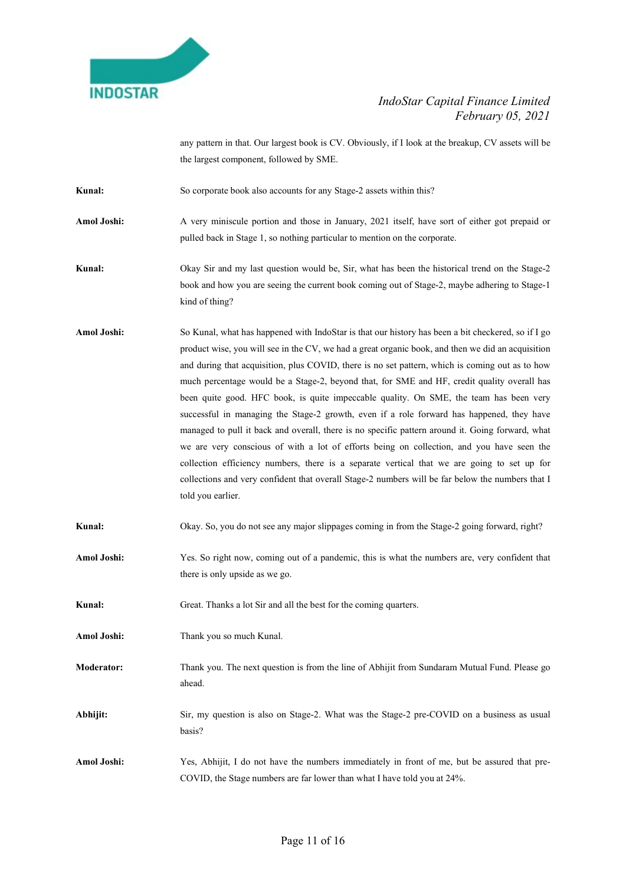

any pattern in that. Our largest book is CV. Obviously, if I look at the breakup, CV assets will be the largest component, followed by SME.

Kunal: So corporate book also accounts for any Stage-2 assets within this?

Amol Joshi: A very miniscule portion and those in January, 2021 itself, have sort of either got prepaid or pulled back in Stage 1, so nothing particular to mention on the corporate.

Kunal: Okay Sir and my last question would be, Sir, what has been the historical trend on the Stage-2 book and how you are seeing the current book coming out of Stage-2, maybe adhering to Stage-1 kind of thing?

Amol Joshi: So Kunal, what has happened with IndoStar is that our history has been a bit checkered, so if I go product wise, you will see in the CV, we had a great organic book, and then we did an acquisition and during that acquisition, plus COVID, there is no set pattern, which is coming out as to how much percentage would be a Stage-2, beyond that, for SME and HF, credit quality overall has been quite good. HFC book, is quite impeccable quality. On SME, the team has been very successful in managing the Stage-2 growth, even if a role forward has happened, they have managed to pull it back and overall, there is no specific pattern around it. Going forward, what we are very conscious of with a lot of efforts being on collection, and you have seen the collection efficiency numbers, there is a separate vertical that we are going to set up for collections and very confident that overall Stage-2 numbers will be far below the numbers that I told you earlier.

Kunal: Okay. So, you do not see any major slippages coming in from the Stage-2 going forward, right?

Amol Joshi: Yes. So right now, coming out of a pandemic, this is what the numbers are, very confident that there is only upside as we go.

Kunal: Great. Thanks a lot Sir and all the best for the coming quarters.

Amol Joshi: Thank you so much Kunal.

Moderator: Thank you. The next question is from the line of Abhijit from Sundaram Mutual Fund. Please go ahead.

Abhijit: Sir, my question is also on Stage-2. What was the Stage-2 pre-COVID on a business as usual basis?

Amol Joshi: Yes, Abhijit, I do not have the numbers immediately in front of me, but be assured that pre-COVID, the Stage numbers are far lower than what I have told you at 24%.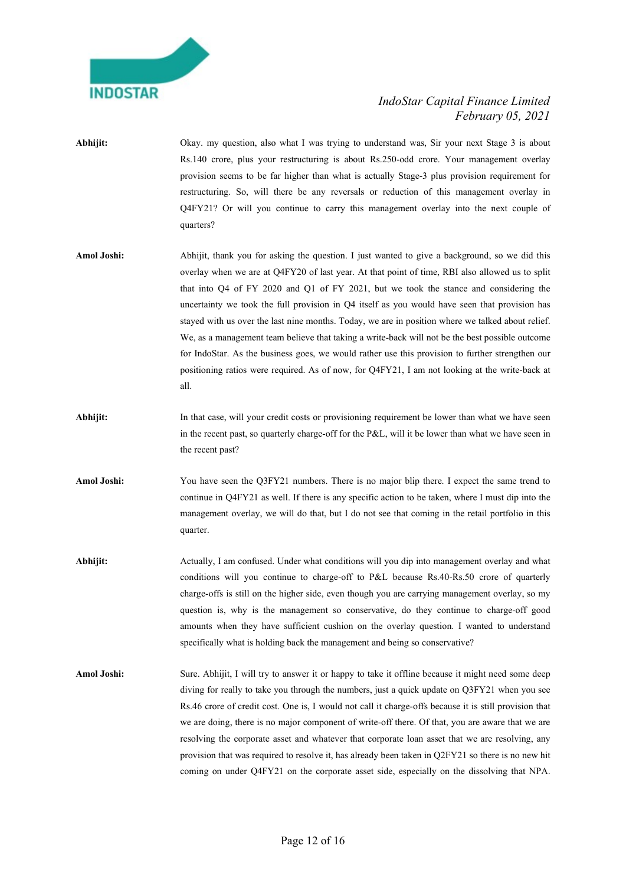

- Abhijit: Okay. my question, also what I was trying to understand was, Sir your next Stage 3 is about Rs.140 crore, plus your restructuring is about Rs.250-odd crore. Your management overlay provision seems to be far higher than what is actually Stage-3 plus provision requirement for restructuring. So, will there be any reversals or reduction of this management overlay in Q4FY21? Or will you continue to carry this management overlay into the next couple of quarters?
- Amol Joshi: Abhijit, thank you for asking the question. I just wanted to give a background, so we did this overlay when we are at Q4FY20 of last year. At that point of time, RBI also allowed us to split that into Q4 of FY 2020 and Q1 of FY 2021, but we took the stance and considering the uncertainty we took the full provision in Q4 itself as you would have seen that provision has stayed with us over the last nine months. Today, we are in position where we talked about relief. We, as a management team believe that taking a write-back will not be the best possible outcome for IndoStar. As the business goes, we would rather use this provision to further strengthen our positioning ratios were required. As of now, for Q4FY21, I am not looking at the write-back at all.
- Abhijit: In that case, will your credit costs or provisioning requirement be lower than what we have seen in the recent past, so quarterly charge-off for the P&L, will it be lower than what we have seen in the recent past?
- Amol Joshi: You have seen the Q3FY21 numbers. There is no major blip there. I expect the same trend to continue in Q4FY21 as well. If there is any specific action to be taken, where I must dip into the management overlay, we will do that, but I do not see that coming in the retail portfolio in this quarter.
- Abhijit: Actually, I am confused. Under what conditions will you dip into management overlay and what conditions will you continue to charge-off to P&L because Rs.40-Rs.50 crore of quarterly charge-offs is still on the higher side, even though you are carrying management overlay, so my question is, why is the management so conservative, do they continue to charge-off good amounts when they have sufficient cushion on the overlay question. I wanted to understand specifically what is holding back the management and being so conservative?
- Amol Joshi: Sure. Abhijit, I will try to answer it or happy to take it offline because it might need some deep diving for really to take you through the numbers, just a quick update on Q3FY21 when you see Rs.46 crore of credit cost. One is, I would not call it charge-offs because it is still provision that we are doing, there is no major component of write-off there. Of that, you are aware that we are resolving the corporate asset and whatever that corporate loan asset that we are resolving, any provision that was required to resolve it, has already been taken in Q2FY21 so there is no new hit coming on under Q4FY21 on the corporate asset side, especially on the dissolving that NPA.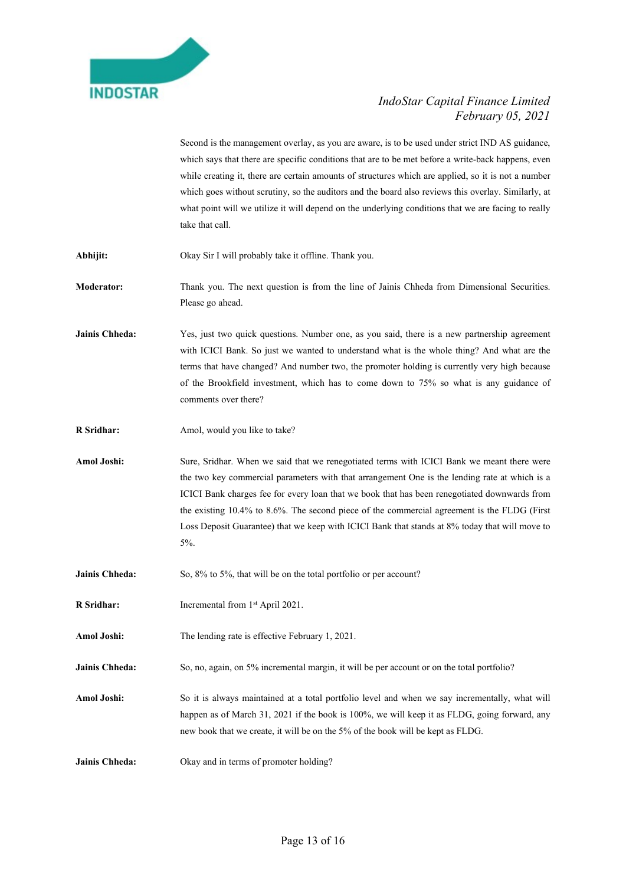

Second is the management overlay, as you are aware, is to be used under strict IND AS guidance, which says that there are specific conditions that are to be met before a write-back happens, even while creating it, there are certain amounts of structures which are applied, so it is not a number which goes without scrutiny, so the auditors and the board also reviews this overlay. Similarly, at what point will we utilize it will depend on the underlying conditions that we are facing to really take that call.

- Abhijit: Okay Sir I will probably take it offline. Thank you.
- Moderator: Thank you. The next question is from the line of Jainis Chheda from Dimensional Securities. Please go ahead.
- Jainis Chheda: Yes, just two quick questions. Number one, as you said, there is a new partnership agreement with ICICI Bank. So just we wanted to understand what is the whole thing? And what are the terms that have changed? And number two, the promoter holding is currently very high because of the Brookfield investment, which has to come down to 75% so what is any guidance of comments over there?
- R Sridhar: Amol, would you like to take?
- Amol Joshi: Sure, Sridhar. When we said that we renegotiated terms with ICICI Bank we meant there were the two key commercial parameters with that arrangement One is the lending rate at which is a ICICI Bank charges fee for every loan that we book that has been renegotiated downwards from the existing 10.4% to 8.6%. The second piece of the commercial agreement is the FLDG (First Loss Deposit Guarantee) that we keep with ICICI Bank that stands at 8% today that will move to 5%.
- Jainis Chheda: So, 8% to 5%, that will be on the total portfolio or per account?
- R Sridhar: Incremental from 1<sup>st</sup> April 2021.
- Amol Joshi: The lending rate is effective February 1, 2021.
- Jainis Chheda: So, no, again, on 5% incremental margin, it will be per account or on the total portfolio?
- Amol Joshi: So it is always maintained at a total portfolio level and when we say incrementally, what will happen as of March 31, 2021 if the book is 100%, we will keep it as FLDG, going forward, any new book that we create, it will be on the 5% of the book will be kept as FLDG.
- Jainis Chheda: Okay and in terms of promoter holding?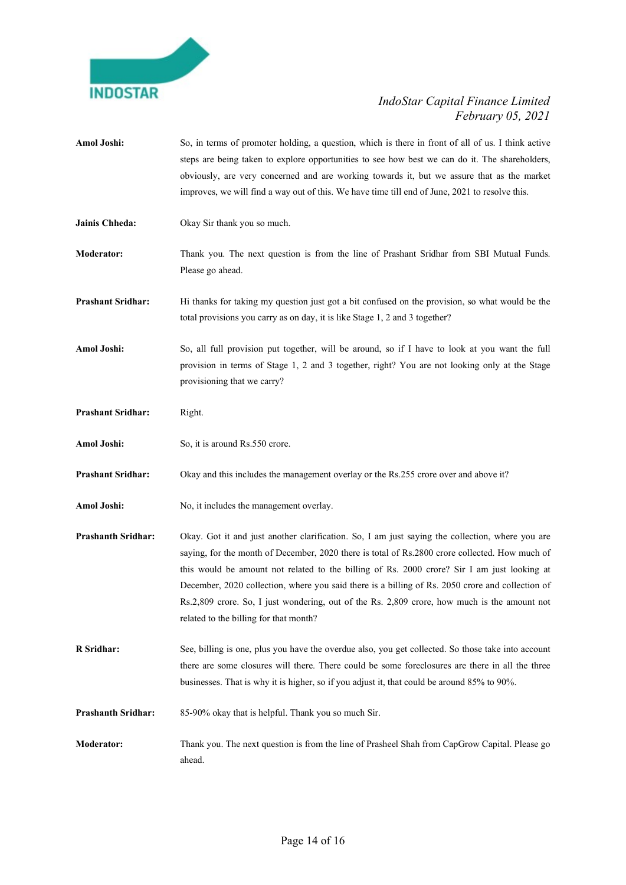

Amol Joshi: So, in terms of promoter holding, a question, which is there in front of all of us. I think active steps are being taken to explore opportunities to see how best we can do it. The shareholders, obviously, are very concerned and are working towards it, but we assure that as the market improves, we will find a way out of this. We have time till end of June, 2021 to resolve this. Jainis Chheda: Okay Sir thank you so much. Moderator: Thank you. The next question is from the line of Prashant Sridhar from SBI Mutual Funds. Please go ahead. Prashant Sridhar: Hi thanks for taking my question just got a bit confused on the provision, so what would be the total provisions you carry as on day, it is like Stage 1, 2 and 3 together? Amol Joshi: So, all full provision put together, will be around, so if I have to look at you want the full provision in terms of Stage 1, 2 and 3 together, right? You are not looking only at the Stage provisioning that we carry? Prashant Sridhar: Right. Amol Joshi: So, it is around Rs.550 crore. Prashant Sridhar: Okay and this includes the management overlay or the Rs.255 crore over and above it? Amol Joshi: No, it includes the management overlay. Prashanth Sridhar: Okay. Got it and just another clarification. So, I am just saying the collection, where you are saying, for the month of December, 2020 there is total of Rs.2800 crore collected. How much of this would be amount not related to the billing of Rs. 2000 crore? Sir I am just looking at December, 2020 collection, where you said there is a billing of Rs. 2050 crore and collection of Rs.2,809 crore. So, I just wondering, out of the Rs. 2,809 crore, how much is the amount not related to the billing for that month? R Sridhar: See, billing is one, plus you have the overdue also, you get collected. So those take into account there are some closures will there. There could be some foreclosures are there in all the three businesses. That is why it is higher, so if you adjust it, that could be around 85% to 90%. Prashanth Sridhar: 85-90% okay that is helpful. Thank you so much Sir. Moderator: Thank you. The next question is from the line of Prasheel Shah from CapGrow Capital. Please go ahead.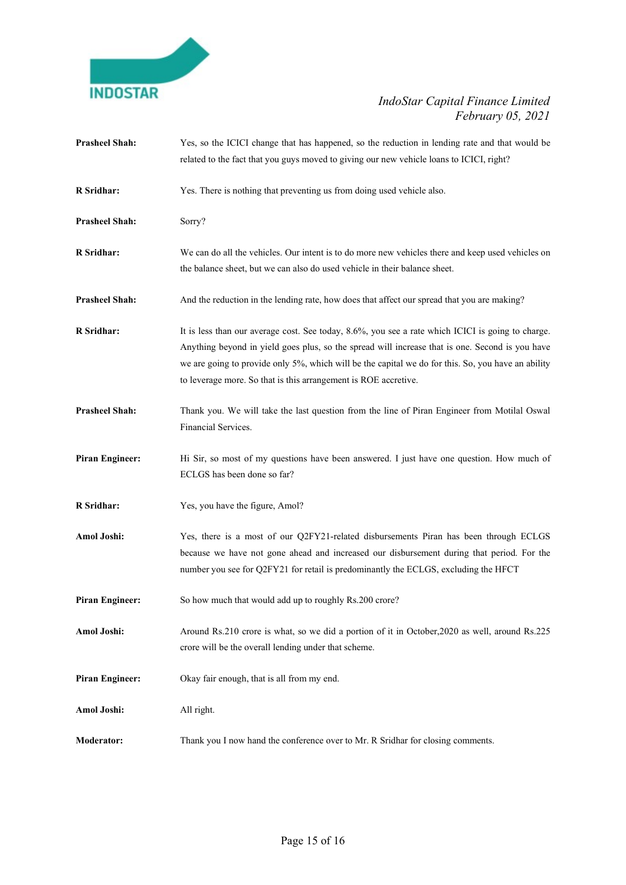

| <b>Prasheel Shah:</b>  | Yes, so the ICICI change that has happened, so the reduction in lending rate and that would be<br>related to the fact that you guys moved to giving our new vehicle loans to ICICI, right?                                                                                                                                                                                    |
|------------------------|-------------------------------------------------------------------------------------------------------------------------------------------------------------------------------------------------------------------------------------------------------------------------------------------------------------------------------------------------------------------------------|
| R Sridhar:             | Yes. There is nothing that preventing us from doing used vehicle also.                                                                                                                                                                                                                                                                                                        |
| <b>Prasheel Shah:</b>  | Sorry?                                                                                                                                                                                                                                                                                                                                                                        |
| R Sridhar:             | We can do all the vehicles. Our intent is to do more new vehicles there and keep used vehicles on<br>the balance sheet, but we can also do used vehicle in their balance sheet.                                                                                                                                                                                               |
| <b>Prasheel Shah:</b>  | And the reduction in the lending rate, how does that affect our spread that you are making?                                                                                                                                                                                                                                                                                   |
| <b>R</b> Sridhar:      | It is less than our average cost. See today, 8.6%, you see a rate which ICICI is going to charge.<br>Anything beyond in yield goes plus, so the spread will increase that is one. Second is you have<br>we are going to provide only 5%, which will be the capital we do for this. So, you have an ability<br>to leverage more. So that is this arrangement is ROE accretive. |
| <b>Prasheel Shah:</b>  | Thank you. We will take the last question from the line of Piran Engineer from Motilal Oswal<br>Financial Services.                                                                                                                                                                                                                                                           |
| <b>Piran Engineer:</b> | Hi Sir, so most of my questions have been answered. I just have one question. How much of<br>ECLGS has been done so far?                                                                                                                                                                                                                                                      |
| R Sridhar:             | Yes, you have the figure, Amol?                                                                                                                                                                                                                                                                                                                                               |
| Amol Joshi:            | Yes, there is a most of our Q2FY21-related disbursements Piran has been through ECLGS<br>because we have not gone ahead and increased our disbursement during that period. For the<br>number you see for Q2FY21 for retail is predominantly the ECLGS, excluding the HFCT                                                                                                     |
| <b>Piran Engineer:</b> | So how much that would add up to roughly Rs.200 crore?                                                                                                                                                                                                                                                                                                                        |
| Amol Joshi:            | Around Rs.210 crore is what, so we did a portion of it in October, 2020 as well, around Rs.225<br>crore will be the overall lending under that scheme.                                                                                                                                                                                                                        |
| <b>Piran Engineer:</b> | Okay fair enough, that is all from my end.                                                                                                                                                                                                                                                                                                                                    |
| Amol Joshi:            | All right.                                                                                                                                                                                                                                                                                                                                                                    |
| <b>Moderator:</b>      | Thank you I now hand the conference over to Mr. R Sridhar for closing comments.                                                                                                                                                                                                                                                                                               |